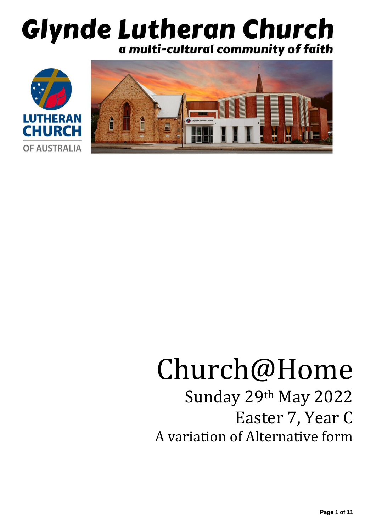## **Glynde Lutheran Church** a multi-cultural community of faith





# Church@Home

Sunday 29th May 2022 Easter 7, Year C A variation of Alternative form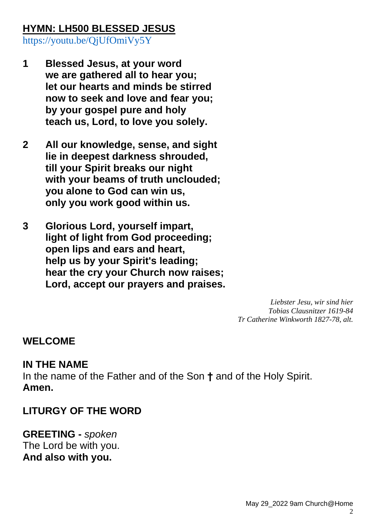### **HYMN: LH500 BLESSED JESUS**

<https://youtu.be/QjUfOmiVy5Y>

- **1 Blessed Jesus, at your word we are gathered all to hear you; let our hearts and minds be stirred now to seek and love and fear you; by your gospel pure and holy teach us, Lord, to love you solely.**
- **2 All our knowledge, sense, and sight lie in deepest darkness shrouded, till your Spirit breaks our night with your beams of truth unclouded; you alone to God can win us, only you work good within us.**
- **3 Glorious Lord, yourself impart, light of light from God proceeding; open lips and ears and heart, help us by your Spirit's leading; hear the cry your Church now raises; Lord, accept our prayers and praises.**

*Liebster Jesu, wir sind hier Tobias Clausnitzer 1619-84 Tr Catherine Winkworth 1827-78, alt.*

#### **WELCOME**

#### **IN THE NAME**

In the name of the Father and of the Son **†** and of the Holy Spirit. **Amen.**

#### **LITURGY OF THE WORD**

**GREETING -** *spoken* The Lord be with you. **And also with you.**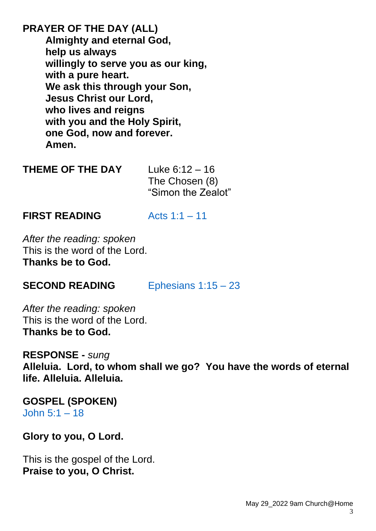**PRAYER OF THE DAY (ALL) Almighty and eternal God, help us always willingly to serve you as our king, with a pure heart. We ask this through your Son, Jesus Christ our Lord, who lives and reigns with you and the Holy Spirit, one God, now and forever. Amen.**

**THEME OF THE DAY** Luke 6:12 – 16

The Chosen (8) "Simon the Zealot"

**FIRST READING** [Acts 1:1 –](https://www.biblegateway.com/passage/?search=Acts%201%3A1-11&version=GNT) 11

*After the reading: spoken* This is the word of the Lord. **Thanks be to God.**

#### **SECOND READING** [Ephesians 1:15 –](https://www.biblegateway.com/passage/?search=Ephesians+1%3A15+%E2%80%93+23&version=GNT) 23

*After the reading: spoken* This is the word of the Lord. **Thanks be to God.**

**RESPONSE -** *sung*

**Alleluia. Lord, to whom shall we go? You have the words of eternal life. Alleluia. Alleluia.**

**GOSPEL (SPOKEN)** [John 5:1 –](https://www.biblegateway.com/passage/?search=John+5%3A1+%E2%80%93+18&version=GNT) 18

**Glory to you, O Lord.**

This is the gospel of the Lord. **Praise to you, O Christ.**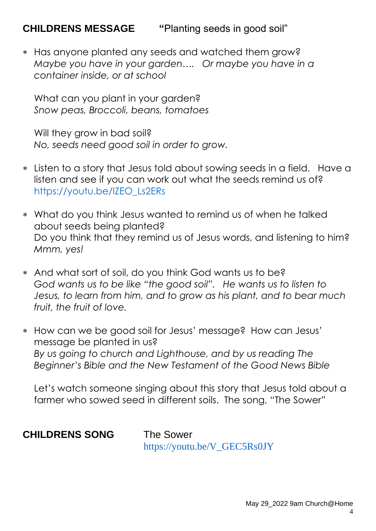#### **CHILDRENS MESSAGE "**Planting seeds in good soil"

 Has anyone planted any seeds and watched them grow? *Maybe you have in your garden…. Or maybe you have in a container inside, or at school*

What can you plant in your garden? *Snow peas, Broccoli, beans, tomatoes*

Will they grow in bad soil? *No, seeds need good soil in order to grow.*

- Listen to a story that Jesus told about sowing seeds in a field. Have a listen and see if you can work out what the seeds remind us of? [https://youtu.be/IZEO\\_Ls2ERs](https://youtu.be/IZEO_Ls2ERs)
- What do you think Jesus wanted to remind us of when he talked about seeds being planted? Do you think that they remind us of Jesus words, and listening to him? *Mmm, yes!*
- And what sort of soil, do you think God wants us to be? God wants us to be like "the good soil". He wants us to listen to *Jesus, to learn from him, and to grow as his plant, and to bear much fruit, the fruit of love.*
- How can we be good soil for Jesus' message? How can Jesus' message be planted in us? *By us going to church and Lighthouse, and by us reading The Beginner's Bible and the New Testament of the Good News Bible*

Let's watch someone singing about this story that Jesus told about a farmer who sowed seed in different soils. The song, "The Sower"

**CHILDRENS SONG** The Sower

[https://youtu.be/V\\_GEC5Rs0JY](https://youtu.be/V_GEC5Rs0JY)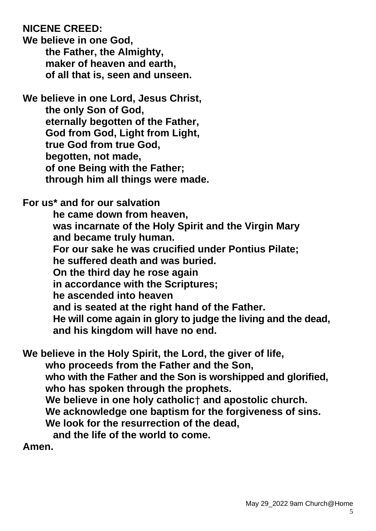**NICENE CREED:** 

**We believe in one God, the Father, the Almighty, maker of heaven and earth, of all that is, seen and unseen.**

**We believe in one Lord, Jesus Christ, the only Son of God, eternally begotten of the Father, God from God, Light from Light, true God from true God, begotten, not made, of one Being with the Father; through him all things were made.**

**For us\* and for our salvation he came down from heaven, was incarnate of the Holy Spirit and the Virgin Mary and became truly human. For our sake he was crucified under Pontius Pilate; he suffered death and was buried. On the third day he rose again in accordance with the Scriptures; he ascended into heaven and is seated at the right hand of the Father. He will come again in glory to judge the living and the dead, and his kingdom will have no end.**

**We believe in the Holy Spirit, the Lord, the giver of life, who proceeds from the Father and the Son, who with the Father and the Son is worshipped and glorified, who has spoken through the prophets. We believe in one holy catholic**† **and apostolic church. We acknowledge one baptism for the forgiveness of sins. We look for the resurrection of the dead, and the life of the world to come.**

**Amen.**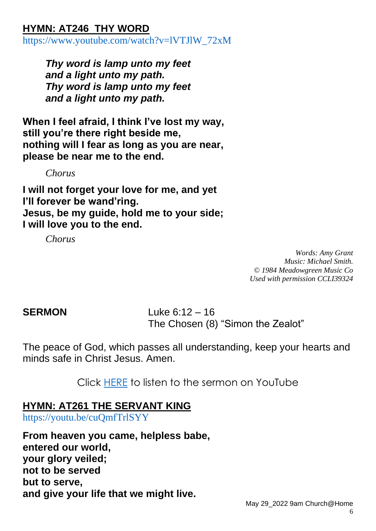#### **HYMN: AT246 THY WORD**

[https://www.youtube.com/watch?v=lVTJlW\\_72xM](https://www.youtube.com/watch?v=lVTJlW_72xM)

*Thy word is lamp unto my feet and a light unto my path. Thy word is lamp unto my feet and a light unto my path.*

**When I feel afraid, I think I've lost my way, still you're there right beside me, nothing will I fear as long as you are near, please be near me to the end.**

*Chorus*

**I will not forget your love for me, and yet I'll forever be wand'ring. Jesus, be my guide, hold me to your side; I will love you to the end.**

*Chorus*

*Words: Amy Grant Music: Michael Smith. © 1984 Meadowgreen Music Co Used with permission CCLI39324*

**SERMON** Luke 6:12 – 16 The Chosen (8) "Simon the Zealot"

The peace of God, which passes all understanding, keep your hearts and minds safe in Christ Jesus. Amen.

Click [HERE](https://youtu.be/z-VBFkGD-vI) to listen to the sermon on YouTube

#### **HYMN: AT261 THE SERVANT KING**

<https://youtu.be/cuQmfTrlSYY>

**From heaven you came, helpless babe, entered our world, your glory veiled; not to be served but to serve, and give your life that we might live.**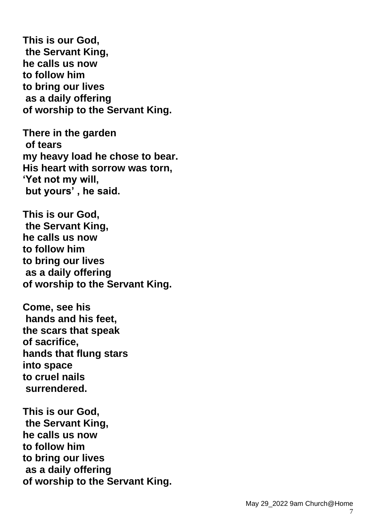**This is our God, the Servant King, he calls us now to follow him to bring our lives as a daily offering of worship to the Servant King.**

**There in the garden of tears my heavy load he chose to bear. His heart with sorrow was torn, 'Yet not my will, but yours' , he said.**

**This is our God, the Servant King, he calls us now to follow him to bring our lives as a daily offering of worship to the Servant King.**

**Come, see his hands and his feet, the scars that speak of sacrifice, hands that flung stars into space to cruel nails surrendered.**

**This is our God, the Servant King, he calls us now to follow him to bring our lives as a daily offering of worship to the Servant King.**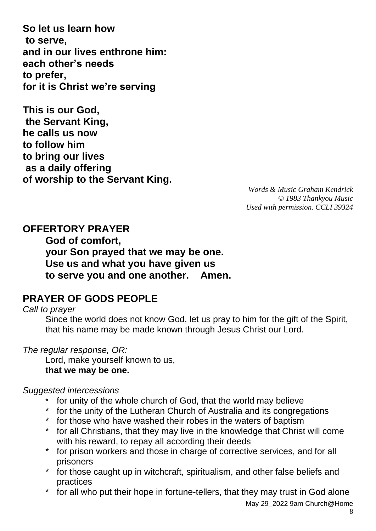**So let us learn how to serve, and in our lives enthrone him: each other's needs to prefer, for it is Christ we're serving**

**This is our God, the Servant King, he calls us now to follow him to bring our lives as a daily offering of worship to the Servant King.**

*Words & Music Graham Kendrick © 1983 Thankyou Music Used with permission. CCLI 39324* 

#### **OFFERTORY PRAYER**

**God of comfort, your Son prayed that we may be one. Use us and what you have given us to serve you and one another. Amen.**

#### **PRAYER OF GODS PEOPLE**

#### *Call to prayer*

Since the world does not know God, let us pray to him for the gift of the Spirit, that his name may be made known through Jesus Christ our Lord.

#### *The regular response, OR:*

Lord, make yourself known to us, **that we may be one.**

#### *Suggested intercessions*

- \* for unity of the whole church of God, that the world may believe
- \* for the unity of the Lutheran Church of Australia and its congregations
- \* for those who have washed their robes in the waters of baptism
- \* for all Christians, that they may live in the knowledge that Christ will come with his reward, to repay all according their deeds
- \* for prison workers and those in charge of corrective services, and for all prisoners
- \* for those caught up in witchcraft, spiritualism, and other false beliefs and practices
- \* for all who put their hope in fortune-tellers, that they may trust in God alone

May 29 2022 9am Church@Home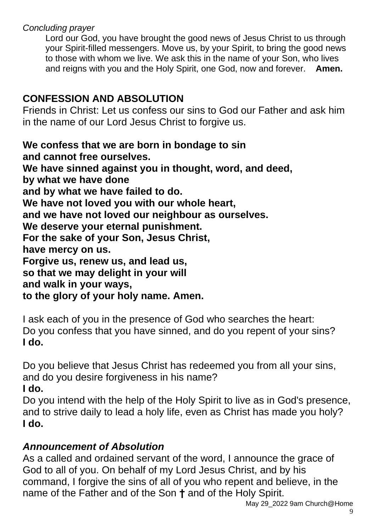#### *Concluding prayer*

Lord our God, you have brought the good news of Jesus Christ to us through your Spirit-filled messengers. Move us, by your Spirit, to bring the good news to those with whom we live. We ask this in the name of your Son, who lives and reigns with you and the Holy Spirit, one God, now and forever. **Amen.**

#### **CONFESSION AND ABSOLUTION**

Friends in Christ: Let us confess our sins to God our Father and ask him in the name of our Lord Jesus Christ to forgive us.

**We confess that we are born in bondage to sin and cannot free ourselves. We have sinned against you in thought, word, and deed, by what we have done and by what we have failed to do. We have not loved you with our whole heart, and we have not loved our neighbour as ourselves. We deserve your eternal punishment. For the sake of your Son, Jesus Christ, have mercy on us. Forgive us, renew us, and lead us, so that we may delight in your will and walk in your ways, to the glory of your holy name. Amen.**

I ask each of you in the presence of God who searches the heart: Do you confess that you have sinned, and do you repent of your sins? **I do.**

Do you believe that Jesus Christ has redeemed you from all your sins, and do you desire forgiveness in his name? **I do.**

Do you intend with the help of the Holy Spirit to live as in God's presence, and to strive daily to lead a holy life, even as Christ has made you holy? **I do.**

#### *Announcement of Absolution*

As a called and ordained servant of the word, I announce the grace of God to all of you. On behalf of my Lord Jesus Christ, and by his command, I forgive the sins of all of you who repent and believe, in the name of the Father and of the Son **†** and of the Holy Spirit.

May 29\_2022 9am Church@Home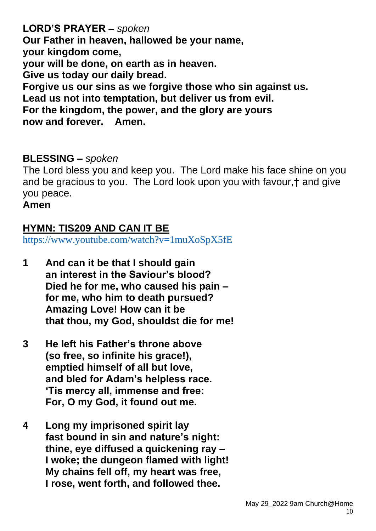#### **LORD'S PRAYER –** *spoken*

**Our Father in heaven, hallowed be your name, your kingdom come, your will be done, on earth as in heaven. Give us today our daily bread. Forgive us our sins as we forgive those who sin against us. Lead us not into temptation, but deliver us from evil. For the kingdom, the power, and the glory are yours now and forever. Amen.**

#### **BLESSING –** *spoken*

The Lord bless you and keep you. The Lord make his face shine on you and be gracious to you. The Lord look upon you with favour,**†** and give you peace.

**Amen**

#### **HYMN: TIS209 AND CAN IT BE**

<https://www.youtube.com/watch?v=1muXoSpX5fE>

- **1 And can it be that I should gain an interest in the Saviour's blood? Died he for me, who caused his pain – for me, who him to death pursued? Amazing Love! How can it be that thou, my God, shouldst die for me!**
- **3 He left his Father's throne above (so free, so infinite his grace!), emptied himself of all but love, and bled for Adam's helpless race. 'Tis mercy all, immense and free: For, O my God, it found out me.**
- **4 Long my imprisoned spirit lay fast bound in sin and nature's night: thine, eye diffused a quickening ray – I woke; the dungeon flamed with light! My chains fell off, my heart was free, I rose, went forth, and followed thee.**